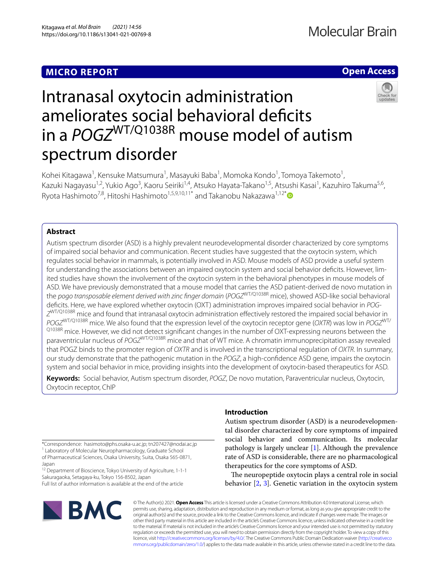# **MICRO REPORT**

# **Open Access**



# Intranasal oxytocin administration ameliorates social behavioral deficits in a *POGZ*WT/Q1038R mouse model of autism spectrum disorder

Kohei Kitagawa<sup>1</sup>, Kensuke Matsumura<sup>1</sup>, Masayuki Baba<sup>1</sup>, Momoka Kondo<sup>1</sup>, Tomoya Takemoto<sup>1</sup>, Kazuki Nagayasu<sup>1,2</sup>, Yukio Ago<sup>3</sup>, Kaoru Seiriki<sup>1,4</sup>, Atsuko Hayata-Takano<sup>1,5</sup>, Atsushi Kasai<sup>1</sup>, Kazuhiro Takuma<sup>5,6</sup>, Ryota Hashimoto<sup>7,8</sup>, Hitoshi Hashimoto<sup>1,5,9,10,11[\\*](http://orcid.org/0000-0003-4863-1277)</sup> and Takanobu Nakazawa<sup>1,12\*</sup>

## **Abstract**

Autism spectrum disorder (ASD) is a highly prevalent neurodevelopmental disorder characterized by core symptoms of impaired social behavior and communication. Recent studies have suggested that the oxytocin system, which regulates social behavior in mammals, is potentially involved in ASD. Mouse models of ASD provide a useful system for understanding the associations between an impaired oxytocin system and social behavior deficits. However, limited studies have shown the involvement of the oxytocin system in the behavioral phenotypes in mouse models of ASD. We have previously demonstrated that a mouse model that carries the ASD patient-derived de novo mutation in the *pogo transposable element derived with zinc fnger domain* (*POGZ*WT/Q1038R mice), showed ASD-like social behavioral defcits. Here, we have explored whether oxytocin (OXT) administration improves impaired social behavior in *POG-Z*WT/Q1038R mice and found that intranasal oxytocin administration efectively restored the impaired social behavior in *POGZ*WT/Q1038R mice. We also found that the expression level of the oxytocin receptor gene (*OXTR*) was low in *POGZ*WT/ Q1038R mice. However, we did not detect significant changes in the number of OXT-expressing neurons between the paraventricular nucleus of *POGZ*WT/Q1038R mice and that of WT mice. A chromatin immunoprecipitation assay revealed that POGZ binds to the promoter region of *OXTR* and is involved in the transcriptional regulation of *OXTR*. In summary, our study demonstrate that the pathogenic mutation in the *POGZ*, a high-confdence ASD gene, impairs the oxytocin system and social behavior in mice, providing insights into the development of oxytocin-based therapeutics for ASD.

**Keywords:** Social behavior, Autism spectrum disorder, *POGZ*, De novo mutation, Paraventricular nucleus, Oxytocin, Oxytocin receptor, ChIP

\*Correspondence: hasimoto@phs.osaka-u.ac.jp; tn207427@nodai.ac.jp

<sup>1</sup> Laboratory of Molecular Neuropharmacology, Graduate School of Pharmaceutical Sciences, Osaka University, Suita, Osaka 565‑0871, Japan

<sup>12</sup> Department of Bioscience, Tokyo University of Agriculture, 1-1-1 Sakuragaoka, Setagaya‑ku, Tokyo 156‑8502, Japan

Full list of author information is available at the end of the article

# **BMC**

## **Introduction**

Autism spectrum disorder (ASD) is a neurodevelopmental disorder characterized by core symptoms of impaired social behavior and communication. Its molecular pathology is largely unclear [[1\]](#page-3-0). Although the prevalence rate of ASD is considerable, there are no pharmacological therapeutics for the core symptoms of ASD.

The neuropeptide oxytocin plays a central role in social behavior [[2](#page-3-1), [3\]](#page-3-2). Genetic variation in the oxytocin system

© The Author(s) 2021. **Open Access** This article is licensed under a Creative Commons Attribution 4.0 International License, which permits use, sharing, adaptation, distribution and reproduction in any medium or format, as long as you give appropriate credit to the original author(s) and the source, provide a link to the Creative Commons licence, and indicate if changes were made. The images or other third party material in this article are included in the article's Creative Commons licence, unless indicated otherwise in a credit line to the material. If material is not included in the article's Creative Commons licence and your intended use is not permitted by statutory regulation or exceeds the permitted use, you will need to obtain permission directly from the copyright holder. To view a copy of this licence, visit [http://creativecommons.org/licenses/by/4.0/.](http://creativecommons.org/licenses/by/4.0/) The Creative Commons Public Domain Dedication waiver ([http://creativeco](http://creativecommons.org/publicdomain/zero/1.0/) [mmons.org/publicdomain/zero/1.0/](http://creativecommons.org/publicdomain/zero/1.0/)) applies to the data made available in this article, unless otherwise stated in a credit line to the data.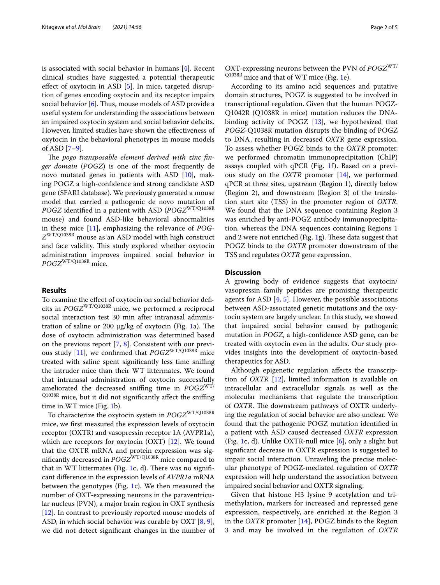is associated with social behavior in humans [[4\]](#page-3-3). Recent clinical studies have suggested a potential therapeutic efect of oxytocin in ASD [\[5](#page-3-4)]. In mice, targeted disruption of genes encoding oxytocin and its receptor impairs social behavior  $[6]$ . Thus, mouse models of ASD provide a useful system for understanding the associations between an impaired oxytocin system and social behavior defcits. However, limited studies have shown the effectiveness of oxytocin in the behavioral phenotypes in mouse models of ASD [[7–](#page-3-6)[9\]](#page-4-0).

The pogo transposable element derived with zinc fin*ger domain* (*POGZ*) is one of the most frequently de novo mutated genes in patients with ASD [[10](#page-4-1)], making POGZ a high-confdence and strong candidate ASD gene (SFARI database). We previously generated a mouse model that carried a pathogenic de novo mutation of *POGZ* identifed in a patient with ASD (*POGZ*WT/Q1038R mouse) and found ASD-like behavioral abnormalities in these mice [[11](#page-4-2)], emphasizing the relevance of *POG-Z*WT/Q1038R mouse as an ASD model with high construct and face validity. This study explored whether oxytocin administration improves impaired social behavior in *POGZ*WT/Q1038R mice.

#### **Results**

To examine the efect of oxytocin on social behavior defcits in *POGZ*WT/Q1038R mice, we performed a reciprocal social interaction test 30 min after intranasal administration of saline or 200  $\mu$ g/kg of oxytocin (Fig. [1a](#page-2-0)). The dose of oxytocin administration was determined based on the previous report [[7,](#page-3-6) [8](#page-4-3)]. Consistent with our previ-ous study [\[11](#page-4-2)], we confirmed that  $POGZ^{WT/Q1038R}$  mice treated with saline spent signifcantly less time snifng the intruder mice than their WT littermates. We found that intranasal administration of oxytocin successfully ameliorated the decreased sniffing time in *POGZ<sup>WT/</sup>* Q1038R mice, but it did not significantly affect the sniffing time in WT mice (Fig. [1](#page-2-0)b).

To characterize the oxytocin system in *POGZ*WT/Q1038R mice, we frst measured the expression levels of oxytocin receptor (OXTR) and vasopressin receptor 1A (AVPR1a), which are receptors for oxytocin (OXT) [[12](#page-4-4)]. We found that the OXTR mRNA and protein expression was signifcantly decreased in *POGZ*WT/Q1038R mice compared to that in WT littermates (Fig. [1c](#page-2-0), d). There was no significant diference in the expression levels of *AVPR1a* mRNA between the genotypes (Fig. [1](#page-2-0)c). We then measured the number of OXT-expressing neurons in the paraventricular nucleus (PVN), a major brain region in OXT synthesis [[12\]](#page-4-4). In contrast to previously reported mouse models of ASD, in which social behavior was curable by OXT [[8,](#page-4-3) [9](#page-4-0)], we did not detect signifcant changes in the number of

OXT-expressing neurons between the PVN of *POGZ*WT/ Q1038R mice and that of WT mice (Fig. [1](#page-2-0)e).

According to its amino acid sequences and putative domain structures, POGZ is suggested to be involved in transcriptional regulation. Given that the human POGZ-Q1042R (Q1038R in mice) mutation reduces the DNAbinding activity of POGZ [\[13](#page-4-5)], we hypothesized that *POGZ*-Q1038R mutation disrupts the binding of POGZ to DNA, resulting in decreased *OXTR* gene expression. To assess whether POGZ binds to the *OXTR* promoter, we performed chromatin immunoprecipitation (ChIP) assays coupled with qPCR (Fig. [1](#page-2-0)f). Based on a previous study on the *OXTR* promoter [\[14](#page-4-6)], we performed qPCR at three sites, upstream (Region 1), directly below (Region 2), and downstream (Region 3) of the translation start site (TSS) in the promoter region of *OXTR*. We found that the DNA sequence containing Region 3 was enriched by anti-POGZ antibody immunoprecipitation, whereas the DNA sequences containing Regions 1 and 2 were not enriched (Fig. [1](#page-2-0)g). These data suggest that POGZ binds to the *OXTR* promoter downstream of the TSS and regulates *OXTR* gene expression.

#### **Discussion**

A growing body of evidence suggests that oxytocin/ vasopressin family peptides are promising therapeutic agents for ASD [\[4](#page-3-3), [5](#page-3-4)]. However, the possible associations between ASD-associated genetic mutations and the oxytocin system are largely unclear. In this study, we showed that impaired social behavior caused by pathogenic mutation in *POGZ*, a high-confdence ASD gene, can be treated with oxytocin even in the adults. Our study provides insights into the development of oxytocin-based therapeutics for ASD.

Although epigenetic regulation afects the transcription of *OXTR* [\[12](#page-4-4)], limited information is available on intracellular and extracellular signals as well as the molecular mechanisms that regulate the transcription of *OXTR*. The downstream pathways of *OXTR* underlying the regulation of social behavior are also unclear. We found that the pathogenic POGZ mutation identifed in a patient with ASD caused decreased *OXTR* expression (Fig. [1c](#page-2-0), d). Unlike OXTR-null mice  $[6]$  $[6]$ , only a slight but signifcant decrease in OXTR expression is suggested to impair social interaction. Unraveling the precise molecular phenotype of POGZ-mediated regulation of *OXTR* expression will help understand the association between impaired social behavior and OXTR signaling.

Given that histone H3 lysine 9 acetylation and trimethylation, markers for increased and repressed gene expression, respectively, are enriched at the Region 3 in the *OXTR* promoter [[14](#page-4-6)], POGZ binds to the Region 3 and may be involved in the regulation of *OXTR*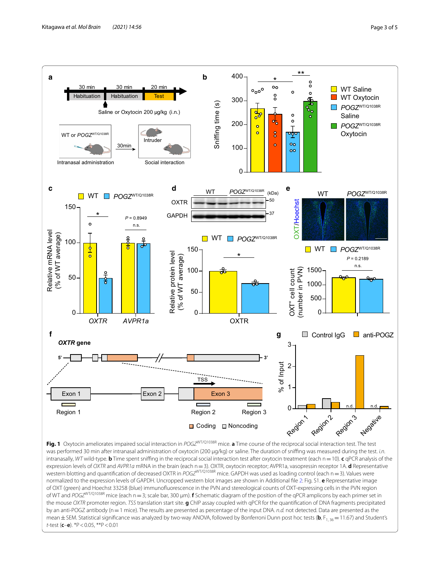

<span id="page-2-0"></span>**Fig. 1** Oxytocin ameliorates impaired social interaction in *POGZ*WT/Q1038R mice. **a** Time course of the reciprocal social interaction test. The test was performed 30 min after intranasal administration of oxytocin (200 μg/kg) or saline. The duration of snifng was measured during the test. *i.n.* intranasally, *WT* wild-type. **b** Time spent snifng in the reciprocal social interaction test after oxytocin treatment (each n=10). **c** qPCR analysis of the expression levels of *OXTR* and *AVPR1a* mRNA in the brain (each n=3). OXTR, oxytocin receptor; AVPR1a, vasopressin receptor 1A. **d** Representative western blotting and quantifcation of decreased OXTR in *POGZ*WT/Q1038R mice. GAPDH was used as loading control (each n=3). Values were normalized to the expression levels of GAPDH. Uncropped western blot images are shown in Additional fle [2](#page-3-7): Fig. S1. **e** Representative image of OXT (green) and Hoechst 33258 (blue) immunofuorescence in the PVN and stereological counts of OXT-expressing cells in the PVN region of WT and *POGZ*WT/Q1038R mice (each n=3; scale bar, 300 μm). **f** Schematic diagram of the position of the qPCR amplicons by each primer set in the mouse *OXTR* promoter region. *TSS* translation start site. **g** ChIP assay coupled with qPCR for the quantifcation of DNA fragments precipitated by an anti-POGZ antibody (n=1 mice). The results are presented as percentage of the input DNA. *n.d.* not detected. Data are presented as the mean  $\pm$  SEM. Statistical significance was analyzed by two-way ANOVA, followed by Bonferroni Dunn post hoc tests (b,  $F_{1,36}=11.67$ ) and Student's *t*-test (**c**–**e**). \*P<0.05, \*\*P<0.01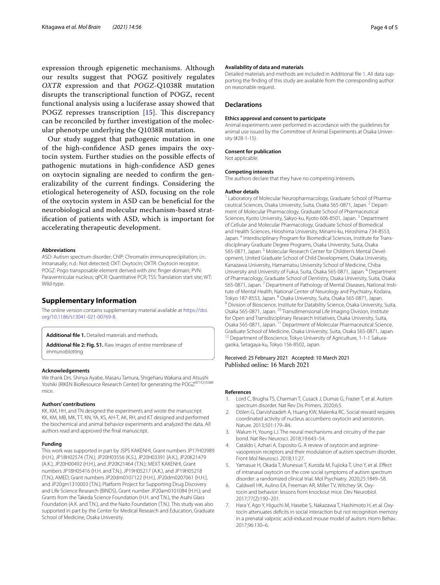expression through epigenetic mechanisms. Although our results suggest that POGZ positively regulates *OXTR* expression and that *POGZ*-Q1038R mutation disrupts the transcriptional function of POGZ, recent functional analysis using a luciferase assay showed that POGZ represses transcription  $[15]$  $[15]$ . This discrepancy can be reconciled by further investigation of the molecular phenotype underlying the Q1038R mutation.

Our study suggest that pathogenic mutation in one of the high-confdence ASD genes impairs the oxytocin system. Further studies on the possible efects of pathogenic mutations in high-confdence ASD genes on oxytocin signaling are needed to confrm the generalizability of the current fndings. Considering the etiological heterogeneity of ASD, focusing on the role of the oxytocin system in ASD can be benefcial for the neurobiological and molecular mechanism-based stratifcation of patients with ASD, which is important for accelerating therapeutic development.

#### **Abbreviations**

ASD: Autism spectrum disorder; ChIP: Chromatin immunoprecipitation; i.n.: Intranasally; n.d.: Not detected; OXT: Oxytocin; OXTR: Oxytocin receptor; POGZ: Pogo transposable element derived with zinc fnger domain; PVN: Paraventricular nucleus; qPCR: Quantitative PCR; TSS: Translation start site; WT: Wild-type.

#### **Supplementary Information**

The online version contains supplementary material available at [https://doi.](https://doi.org/10.1186/s13041-021-00769-8) [org/10.1186/s13041-021-00769-8](https://doi.org/10.1186/s13041-021-00769-8).

<span id="page-3-8"></span><span id="page-3-7"></span>**Additional fle 1.** Detailed materials and methods.

**Additional fle 2: Fig. S1.** Raw images of entire membrane of immunoblotting

#### **Acknowledgements**

We thank Drs. Shinya Ayabe, Masaru Tamura, Shigeharu Wakana and Atsushi Yoshiki (RIKEN BioResource Research Center) for generating the POGZWT/Q1038R mice.

#### **Authors' contributions**

KK, KM, HH, and TN designed the experiments and wrote the manuscript. KK, KM, MB, MK, TT, KN, YA, KS, AH-T, AK, RH, and KT designed and performed the biochemical and animal behavior experiments and analyzed the data. All authors read and approved the fnal manuscript.

#### **Funding**

This work was supported in part by JSPS KAKENHI, Grant numbers JP17H03989 (H.H.), JP18H02574 (T.N.), JP20H03556 (K.S.), JP20H03391 (A.K.), JP20K21479 (A.K.), JP20H00492 (H.H.), and JP20K21464 (T.N.); MEXT KAKENHI, Grant numbers JP18H05416 (H.H. and T.N.), JP19H05217 (A.K.), and JP19H05218 (T.N.); AMED, Grant numbers JP20dm0107122 (H.H.), JP20dm0207061 (H.H.), and JP20gm1310003 (T.N.); Platform Project for Supporting Drug Discovery and Life Science Research (BINDS), Grant number JP20am0101084 (H.H.); and Grants from the Takeda Science Foundation (H.H. and T.N.), the Asahi Glass Foundation (A.K. and T.N.), and the Naito Foundation (T.N.). This study was also supported in part by the Center for Medical Research and Education, Graduate School of Medicine, Osaka University.

#### **Availability of data and materials**

Detailed materials and methods are included in Additional file [1.](#page-3-8) All data supporting the fnding of this study are available from the corresponding author on reasonable request.

#### **Declarations**

#### **Ethics approval and consent to participate**

Animal experiments were performed in accordance with the guidelines for animal use issued by the Committee of Animal Experiments at Osaka University (#28-1-15).

#### **Consent for publication**

Not applicable.

#### **Competing interests**

The authors declare that they have no competing interests.

#### **Author details**

<sup>1</sup> Laboratory of Molecular Neuropharmacology, Graduate School of Pharmaceutical Sciences, Osaka University, Suita, Osaka 565‑0871, Japan. 2 Depart‑ ment of Molecular Pharmacology, Graduate School of Pharmaceutical Sciences, Kyoto University, Sakyo-ku, Kyoto 606-8501, Japan.<sup>3</sup> Department of Cellular and Molecular Pharmacology, Graduate School of Biomedical and Health Sciences, Hiroshima University, Minami-ku, Hiroshima 734-8553, Japan. <sup>4</sup> Interdisciplinary Program for Biomedical Sciences, Institute for Transdisciplinary Graduate Degree Programs, Osaka University, Suita, Osaka 565-0871, Japan.<sup>5</sup> Molecular Research Center for Children's Mental Development, United Graduate School of Child Development, Osaka University, Kanazawa University, Hamamatsu University School of Medicine, Chiba University and University of Fukui, Suita, Osaka 565‑0871, Japan. 6 Department of Pharmacology, Graduate School of Dentistry, Osaka University, Suita, Osaka 565-0871, Japan.<sup>7</sup> Department of Pathology of Mental Diseases, National Institute of Mental Health, National Center of Neurology and Psychiatry, Kodaira, Tokyo 187-8553, Japan. <sup>8</sup> Osaka University, Suita, Osaka 565-0871, Japan. <sup>9</sup> Division of Bioscience, Institute for Datability Science, Osaka University, Suita, Osaka 565‑0871, Japan. <sup>10</sup> Transdimensional Life Imaging Division, Institute for Open and Transdisciplinary Research Initiatives, Osaka University, Suita, Osaka 565‑0871, Japan. 11 Department of Molecular Pharmaceutical Science, Graduate School of Medicine, Osaka University, Suita, Osaka 565-0871, Japan.<br><sup>12</sup> Department of Bioscience, Tokyo University of Agriculture, 1-1-1 Sakuragaoka, Setagaya‑ku, Tokyo 156‑8502, Japan.

#### Received: 25 February 2021 Accepted: 10 March 2021 Published online: 16 March 2021

#### **References**

- <span id="page-3-0"></span>Lord C, Brugha TS, Charman T, Cusack J, Dumas G, Frazier T, et al. Autism spectrum disorder. Nat Rev Dis Primers. 2020;6:5.
- <span id="page-3-1"></span>2. Dölen G, Darvishzadeh A, Huang KW, Malenka RC. Social reward requires coordinated activity of nucleus accumbens oxytocin and serotonin. Nature. 2013;501:179–84.
- <span id="page-3-2"></span>3. Walum H, Young LJ. The neural mechanisms and circuitry of the pair bond. Nat Rev Neurosci. 2018;19:643–54.
- <span id="page-3-3"></span>4. Cataldo I, Azhari A, Esposito G. A review of oxytocin and argininevasopressin receptors and their modulation of autism spectrum disorder. Front Mol Neurosci. 2018;11:27.
- <span id="page-3-4"></span>5. Yamasue H, Okada T, Munesue T, Kuroda M, Fujioka T, Uno Y, et al. Efect of intranasal oxytocin on the core social symptoms of autism spectrum disorder: a randomized clinical trial. Mol Psychiatry. 2020;25:1849–58.
- <span id="page-3-5"></span>6. Caldwell HK, Aulino EA, Freeman AR, Miller TV, Witchey SK. Oxytocin and behavior: lessons from knockout mice. Dev Neurobiol. 2017;77(2):190–201.
- <span id="page-3-6"></span>7. Hara Y, Ago Y, Higuchi M, Hasebe S, Nakazawa T, Hashimoto H, et al. Oxytocin attenuates defcits in social interaction but not recognition memory in a prenatal valproic acid-induced mouse model of autism. Horm Behav. 2017;96:130–6.